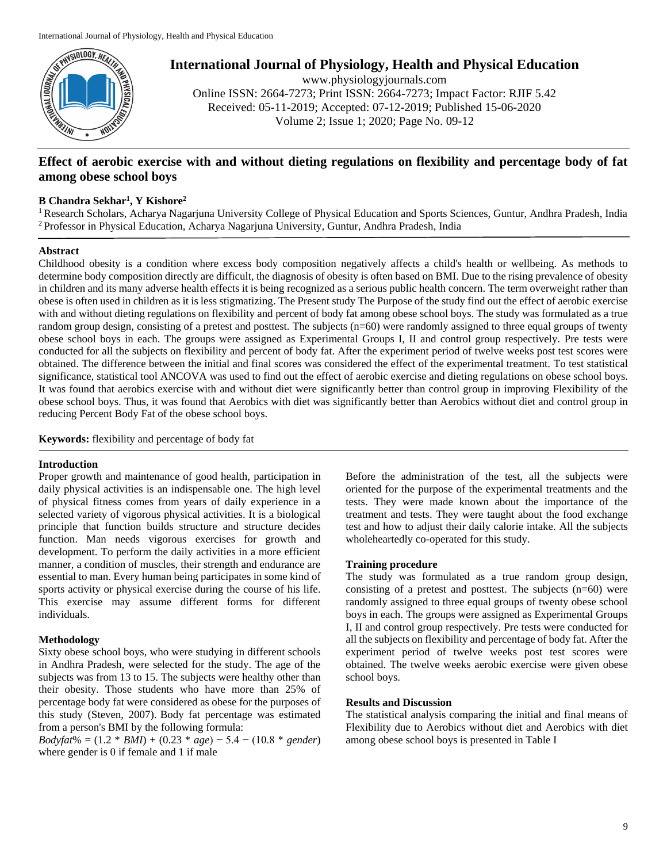

**International Journal of Physiology, Health and Physical Education**

www.physiologyjournals.com Online ISSN: 2664-7273; Print ISSN: 2664-7273; Impact Factor: RJIF 5.42 Received: 05-11-2019; Accepted: 07-12-2019; Published 15-06-2020 Volume 2; Issue 1; 2020; Page No. 09-12

# **Effect of aerobic exercise with and without dieting regulations on flexibility and percentage body of fat among obese school boys**

## **B Chandra Sekhar<sup>1</sup> , Y Kishore<sup>2</sup>**

<sup>1</sup> Research Scholars, Acharya Nagarjuna University College of Physical Education and Sports Sciences, Guntur, Andhra Pradesh, India <sup>2</sup>Professor in Physical Education, Acharya Nagarjuna University, Guntur, Andhra Pradesh, India

#### **Abstract**

Childhood obesity is a condition where excess body composition negatively affects a child's health or wellbeing. As methods to determine body composition directly are difficult, the diagnosis of obesity is often based on BMI. Due to the rising prevalence of obesity in children and its many adverse health effects it is being recognized as a serious public health concern. The term overweight rather than obese is often used in children as it is less stigmatizing. The Present study The Purpose of the study find out the effect of aerobic exercise with and without dieting regulations on flexibility and percent of body fat among obese school boys. The study was formulated as a true random group design, consisting of a pretest and posttest. The subjects (n=60) were randomly assigned to three equal groups of twenty obese school boys in each. The groups were assigned as Experimental Groups I, II and control group respectively. Pre tests were conducted for all the subjects on flexibility and percent of body fat. After the experiment period of twelve weeks post test scores were obtained. The difference between the initial and final scores was considered the effect of the experimental treatment. To test statistical significance, statistical tool ANCOVA was used to find out the effect of aerobic exercise and dieting regulations on obese school boys. It was found that aerobics exercise with and without diet were significantly better than control group in improving Flexibility of the obese school boys. Thus, it was found that Aerobics with diet was significantly better than Aerobics without diet and control group in reducing Percent Body Fat of the obese school boys.

**Keywords:** flexibility and percentage of body fat

#### **Introduction**

Proper growth and maintenance of good health, participation in daily physical activities is an indispensable one. The high level of physical fitness comes from years of daily experience in a selected variety of vigorous physical activities. It is a biological principle that function builds structure and structure decides function. Man needs vigorous exercises for growth and development. To perform the daily activities in a more efficient manner, a condition of muscles, their strength and endurance are essential to man. Every human being participates in some kind of sports activity or physical exercise during the course of his life. This exercise may assume different forms for different individuals.

#### **Methodology**

Sixty obese school boys, who were studying in different schools in Andhra Pradesh, were selected for the study. The age of the subjects was from 13 to 15. The subjects were healthy other than their obesity. Those students who have more than 25% of percentage body fat were considered as obese for the purposes of this study (Steven, 2007). Body fat percentage was estimated from a person's BMI by the following formula:

*Bodyfat*% = (1.2 \* *BMI*) + (0.23 \* *age*) − 5.4 − (10.8 \* *gender*) where gender is 0 if female and 1 if male

Before the administration of the test, all the subjects were oriented for the purpose of the experimental treatments and the tests. They were made known about the importance of the treatment and tests. They were taught about the food exchange test and how to adjust their daily calorie intake. All the subjects wholeheartedly co-operated for this study.

## **Training procedure**

The study was formulated as a true random group design, consisting of a pretest and posttest. The subjects (n=60) were randomly assigned to three equal groups of twenty obese school boys in each. The groups were assigned as Experimental Groups I, II and control group respectively. Pre tests were conducted for all the subjects on flexibility and percentage of body fat. After the experiment period of twelve weeks post test scores were obtained. The twelve weeks aerobic exercise were given obese school boys.

## **Results and Discussion**

The statistical analysis comparing the initial and final means of Flexibility due to Aerobics without diet and Aerobics with diet among obese school boys is presented in Table I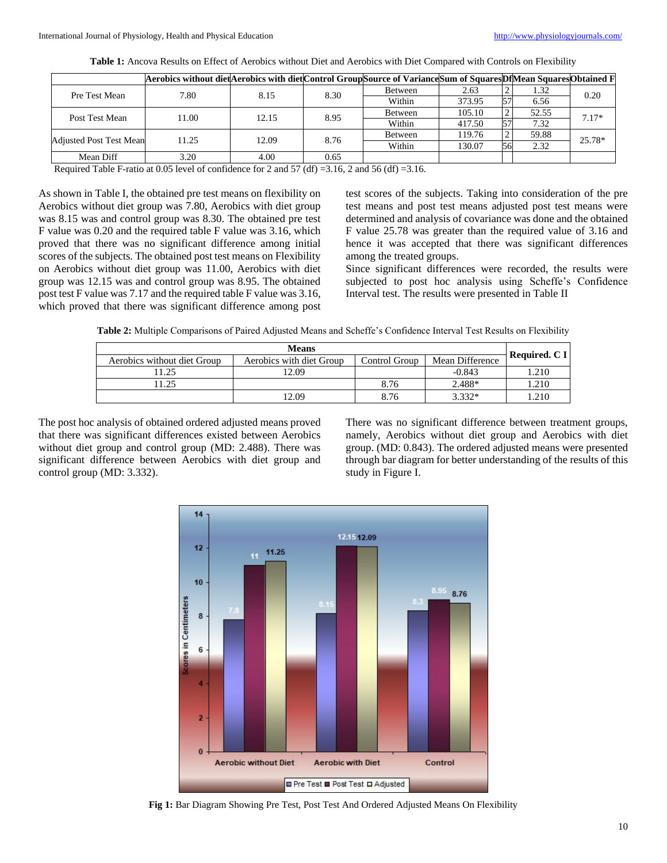|                                | Aerobics without diet Aerobics with diet Control Group Source of Variance Sum of Squares Df Mean Squares Obtained F |       |      |         |        |    |       |         |
|--------------------------------|---------------------------------------------------------------------------------------------------------------------|-------|------|---------|--------|----|-------|---------|
| Pre Test Mean                  | 7.80                                                                                                                | 8.15  | 8.30 | Between | 2.63   | ∸  | 1.32  | 0.20    |
|                                |                                                                                                                     |       |      | Within  | 373.95 | 57 | 6.56  |         |
| Post Test Mean                 | 11.00                                                                                                               | 12.15 | 8.95 | Between | 105.10 | ∸  | 52.55 | $7.17*$ |
|                                |                                                                                                                     |       |      | Within  | 417.50 | 57 | 7.32  |         |
| <b>Adjusted Post Test Mean</b> | 11.25                                                                                                               | 12.09 | 8.76 | Between | 119.76 | ∸  | 59.88 | 25.78*  |
|                                |                                                                                                                     |       |      | Within  | 130.07 | 56 | 2.32  |         |
| Mean Diff                      | 3.20                                                                                                                | 4.00  | 0.65 |         |        |    |       |         |

**Table 1:** Ancova Results on Effect of Aerobics without Diet and Aerobics with Diet Compared with Controls on Flexibility

Required Table F-ratio at 0.05 level of confidence for 2 and 57 (df) =3.16, 2 and 56 (df) =3.16.

As shown in Table I, the obtained pre test means on flexibility on Aerobics without diet group was 7.80, Aerobics with diet group was 8.15 was and control group was 8.30. The obtained pre test F value was 0.20 and the required table F value was 3.16, which proved that there was no significant difference among initial scores of the subjects. The obtained post test means on Flexibility on Aerobics without diet group was 11.00, Aerobics with diet group was 12.15 was and control group was 8.95. The obtained post test F value was 7.17 and the required table F value was 3.16, which proved that there was significant difference among post

test scores of the subjects. Taking into consideration of the pre test means and post test means adjusted post test means were determined and analysis of covariance was done and the obtained F value 25.78 was greater than the required value of 3.16 and hence it was accepted that there was significant differences among the treated groups.

Since significant differences were recorded, the results were subjected to post hoc analysis using Scheffe's Confidence Interval test. The results were presented in Table II

**Table 2:** Multiple Comparisons of Paired Adjusted Means and Scheffe's Confidence Interval Test Results on Flexibility

| <b>Means</b>                |                          |                                  |          |               |  |
|-----------------------------|--------------------------|----------------------------------|----------|---------------|--|
| Aerobics without diet Group | Aerobics with diet Group | Mean Difference<br>Control Group |          | Required. C I |  |
| 1.25                        | 12.09                    |                                  | $-0.843$ | 1.210         |  |
| 1.25                        |                          | 8.76                             | 2.488*   | .210          |  |
|                             | 12.09                    | 8.76                             | $3.332*$ | .210          |  |

The post hoc analysis of obtained ordered adjusted means proved that there was significant differences existed between Aerobics without diet group and control group (MD: 2.488). There was significant difference between Aerobics with diet group and control group (MD: 3.332).

There was no significant difference between treatment groups, namely, Aerobics without diet group and Aerobics with diet group. (MD: 0.843). The ordered adjusted means were presented through bar diagram for better understanding of the results of this study in Figure I.



**Fig 1:** Bar Diagram Showing Pre Test, Post Test And Ordered Adjusted Means On Flexibility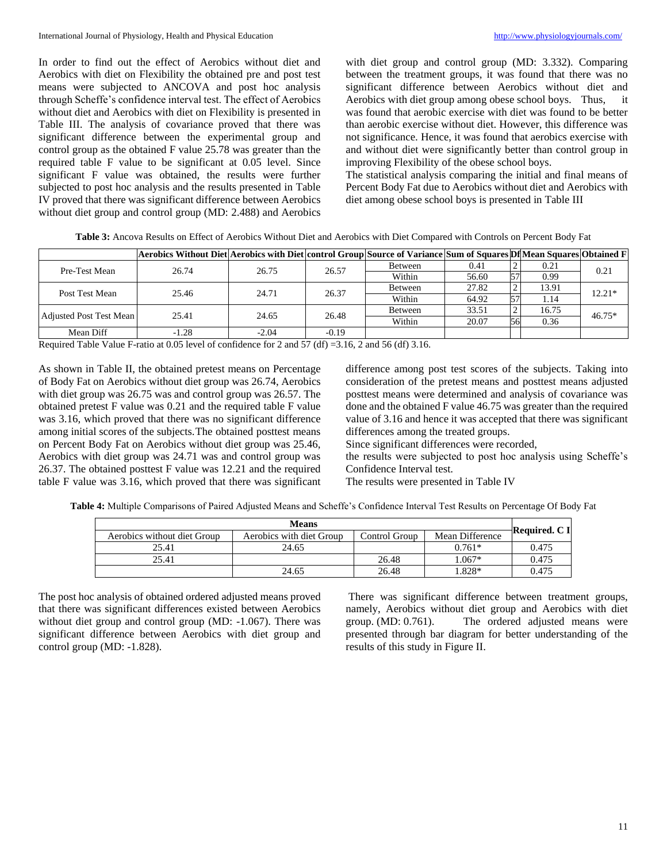In order to find out the effect of Aerobics without diet and Aerobics with diet on Flexibility the obtained pre and post test means were subjected to ANCOVA and post hoc analysis through Scheffe's confidence interval test. The effect of Aerobics without diet and Aerobics with diet on Flexibility is presented in Table III. The analysis of covariance proved that there was significant difference between the experimental group and control group as the obtained F value 25.78 was greater than the required table F value to be significant at 0.05 level. Since significant F value was obtained, the results were further subjected to post hoc analysis and the results presented in Table IV proved that there was significant difference between Aerobics without diet group and control group (MD: 2.488) and Aerobics with diet group and control group (MD: 3.332). Comparing between the treatment groups, it was found that there was no significant difference between Aerobics without diet and Aerobics with diet group among obese school boys. Thus, it was found that aerobic exercise with diet was found to be better than aerobic exercise without diet. However, this difference was not significance. Hence, it was found that aerobics exercise with and without diet were significantly better than control group in improving Flexibility of the obese school boys.

The statistical analysis comparing the initial and final means of Percent Body Fat due to Aerobics without diet and Aerobics with diet among obese school boys is presented in Table III

|                         | Aerobics Without Diet Aerobics with Diet control Group Source of Variance Sum of Squares Df Mean Squares Obtained F |         |         |         |       |                    |       |          |
|-------------------------|---------------------------------------------------------------------------------------------------------------------|---------|---------|---------|-------|--------------------|-------|----------|
| Pre-Test Mean           | 26.74                                                                                                               | 26.75   | 26.57   | Between | 0.41  | $\mathcal{L}$<br>∼ | 0.21  | 0.21     |
|                         |                                                                                                                     |         |         | Within  | 56.60 | 57                 | 0.99  |          |
| Post Test Mean          | 25.46                                                                                                               | 24.71   | 26.37   | Between | 27.82 | 2                  | 13.91 | 12.21*   |
|                         |                                                                                                                     |         |         | Within  | 64.92 | 57                 | 1.14  |          |
| Adjusted Post Test Mean | 25.41                                                                                                               | 24.65   | 26.48   | Between | 33.51 | 2                  | 16.75 | $46.75*$ |
|                         |                                                                                                                     |         |         | Within  | 20.07 | 56                 | 0.36  |          |
| Mean Diff               | $-1.28$                                                                                                             | $-2.04$ | $-0.19$ |         |       |                    |       |          |

**Table 3:** Ancova Results on Effect of Aerobics Without Diet and Aerobics with Diet Compared with Controls on Percent Body Fat

Required Table Value F-ratio at 0.05 level of confidence for 2 and 57 (df) =3.16, 2 and 56 (df) 3.16.

As shown in Table II, the obtained pretest means on Percentage of Body Fat on Aerobics without diet group was 26.74, Aerobics with diet group was 26.75 was and control group was 26.57. The obtained pretest F value was 0.21 and the required table F value was 3.16, which proved that there was no significant difference among initial scores of the subjects.The obtained posttest means on Percent Body Fat on Aerobics without diet group was 25.46, Aerobics with diet group was 24.71 was and control group was 26.37. The obtained posttest F value was 12.21 and the required table F value was 3.16, which proved that there was significant

difference among post test scores of the subjects. Taking into consideration of the pretest means and posttest means adjusted posttest means were determined and analysis of covariance was done and the obtained F value 46.75 was greater than the required value of 3.16 and hence it was accepted that there was significant differences among the treated groups.

Since significant differences were recorded,

the results were subjected to post hoc analysis using Scheffe's Confidence Interval test.

The results were presented in Table IV

**Table 4:** Multiple Comparisons of Paired Adjusted Means and Scheffe's Confidence Interval Test Results on Percentage Of Body Fat

| <b>Means</b>                |                                           |       |                 |               |  |
|-----------------------------|-------------------------------------------|-------|-----------------|---------------|--|
| Aerobics without diet Group | Aerobics with diet Group<br>Control Group |       | Mean Difference | Required. C I |  |
| 25.41                       | 24.65                                     |       | $0.761*$        | 0.475         |  |
| 25.41                       |                                           | 26.48 | $.067*$         | 0.475         |  |
|                             | 24.65                                     | 26.48 | .828*           | 0.475         |  |

The post hoc analysis of obtained ordered adjusted means proved that there was significant differences existed between Aerobics without diet group and control group (MD:  $-1.067$ ). There was significant difference between Aerobics with diet group and control group (MD: -1.828).

There was significant difference between treatment groups, namely, Aerobics without diet group and Aerobics with diet group. (MD: 0.761). The ordered adjusted means were presented through bar diagram for better understanding of the results of this study in Figure II.